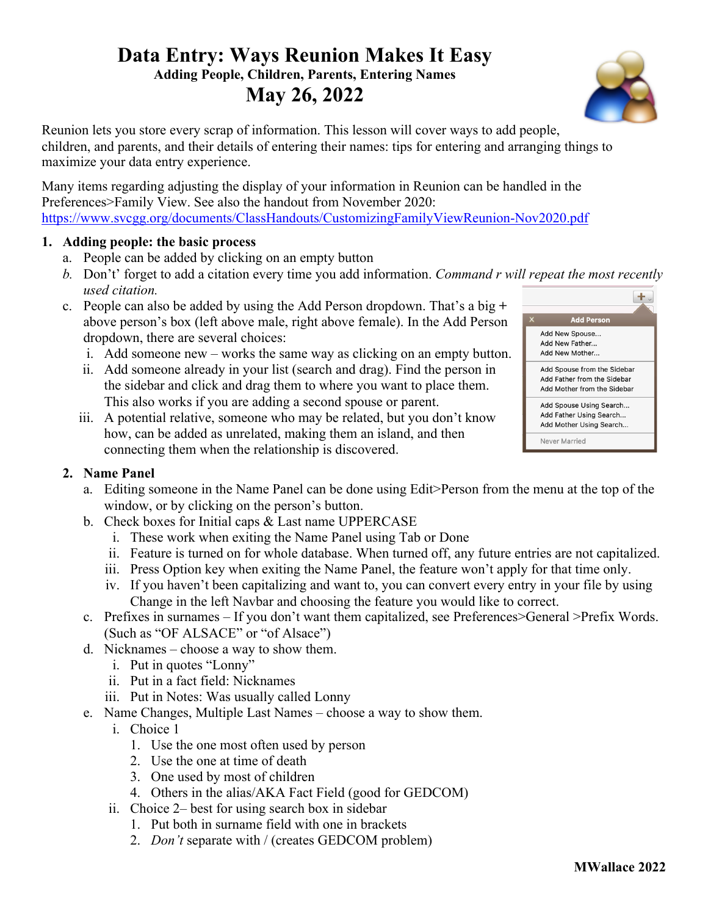# **Data Entry: Ways Reunion Makes It Easy Adding People, Children, Parents, Entering Names May 26, 2022**

Reunion lets you store every scrap of information. This lesson will cover ways to add people, children, and parents, and their details of entering their names: tips for entering and arranging things to maximize your data entry experience.

Many items regarding adjusting the display of your information in Reunion can be handled in the Preferences>Family View. See also the handout from November 2020: https://www.svcgg.org/documents/ClassHandouts/CustomizingFamilyViewReunion-Nov2020.pdf

## **1. Adding people: the basic process**

- a. People can be added by clicking on an empty button
- *b.* Don't' forget to add a citation every time you add information. *Command r will repeat the most recently used citation.*  $+$ .
- c. People can also be added by using the Add Person dropdown. That's a big **+**  above person's box (left above male, right above female). In the Add Person dropdown, there are several choices:
	- i. Add someone new works the same way as clicking on an empty button.
	- ii. Add someone already in your list (search and drag). Find the person in the sidebar and click and drag them to where you want to place them. This also works if you are adding a second spouse or parent.
	- iii. A potential relative, someone who may be related, but you don't know how, can be added as unrelated, making them an island, and then connecting them when the relationship is discovered.



## **2. Name Panel**

- a. Editing someone in the Name Panel can be done using Edit>Person from the menu at the top of the window, or by clicking on the person's button.
- b. Check boxes for Initial caps & Last name UPPERCASE
	- i. These work when exiting the Name Panel using Tab or Done
	- ii. Feature is turned on for whole database. When turned off, any future entries are not capitalized.
	- iii. Press Option key when exiting the Name Panel, the feature won't apply for that time only.
	- iv. If you haven't been capitalizing and want to, you can convert every entry in your file by using Change in the left Navbar and choosing the feature you would like to correct.
- c. Prefixes in surnames If you don't want them capitalized, see Preferences>General >Prefix Words. (Such as "OF ALSACE" or "of Alsace")
- d. Nicknames choose a way to show them.
	- i. Put in quotes "Lonny"
	- ii. Put in a fact field: Nicknames
	- iii. Put in Notes: Was usually called Lonny
- e. Name Changes, Multiple Last Names choose a way to show them.
	- i. Choice 1
		- 1. Use the one most often used by person
		- 2. Use the one at time of death
		- 3. One used by most of children
		- 4. Others in the alias/AKA Fact Field (good for GEDCOM)
	- ii. Choice 2– best for using search box in sidebar
		- 1. Put both in surname field with one in brackets
		- 2. *Don't* separate with / (creates GEDCOM problem)

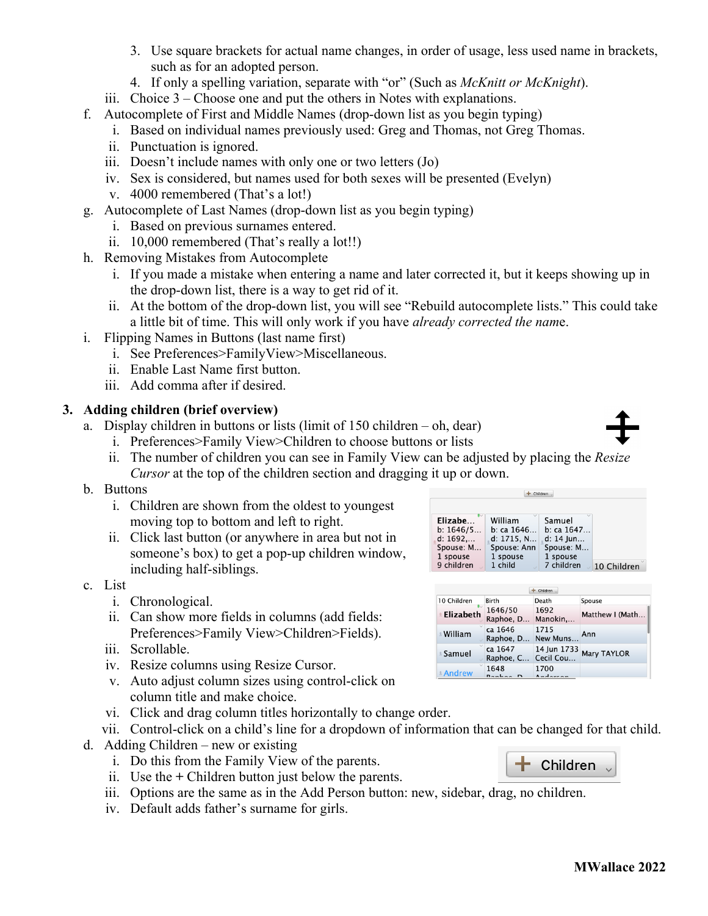- 3. Use square brackets for actual name changes, in order of usage, less used name in brackets, such as for an adopted person.
- 4. If only a spelling variation, separate with "or" (Such as *McKnitt or McKnight*).
- iii. Choice 3 Choose one and put the others in Notes with explanations.
- f. Autocomplete of First and Middle Names (drop-down list as you begin typing)
	- i. Based on individual names previously used: Greg and Thomas, not Greg Thomas.
	- ii. Punctuation is ignored.
	- iii. Doesn't include names with only one or two letters (Jo)
	- iv. Sex is considered, but names used for both sexes will be presented (Evelyn)
	- v. 4000 remembered (That's a lot!)
- g. Autocomplete of Last Names (drop-down list as you begin typing)
	- i. Based on previous surnames entered.
	- ii. 10,000 remembered (That's really a lot!!)
- h. Removing Mistakes from Autocomplete
	- i. If you made a mistake when entering a name and later corrected it, but it keeps showing up in the drop-down list, there is a way to get rid of it.
	- ii. At the bottom of the drop-down list, you will see "Rebuild autocomplete lists." This could take a little bit of time. This will only work if you have *already corrected the nam*e.
- i. Flipping Names in Buttons (last name first)
	- i. See Preferences>FamilyView>Miscellaneous.
	- ii. Enable Last Name first button.
	- iii. Add comma after if desired.

## **3. Adding children (brief overview)**

- a. Display children in buttons or lists (limit of 150 children oh, dear)
	- i. Preferences>Family View>Children to choose buttons or lists
	- ii. The number of children you can see in Family View can be adjusted by placing the *Resize Cursor* at the top of the children section and dragging it up or down.
- b. Buttons
	- i. Children are shown from the oldest to youngest moving top to bottom and left to right.
	- ii. Click last button (or anywhere in area but not in someone's box) to get a pop-up children window, including half-siblings.
- c. List
	- i. Chronological.
	- ii. Can show more fields in columns (add fields: Preferences>Family View>Children>Fields).
	- iii. Scrollable.
	- iv. Resize columns using Resize Cursor.
	- v. Auto adjust column sizes using control-click on column title and make choice.
	- vi. Click and drag column titles horizontally to change order.
	- vii. Control-click on a child's line for a dropdown of information that can be changed for that child.
- d. Adding Children new or existing
	- i. Do this from the Family View of the parents.
	- ii. Use the **+** Children button just below the parents.
	- iii. Options are the same as in the Add Person button: new, sidebar, drag, no children.
	- iv. Default adds father's surname for girls.

| Children   |             |             |             |  |  |
|------------|-------------|-------------|-------------|--|--|
|            |             |             |             |  |  |
| Elizabe    | William     | Samuel      |             |  |  |
| b: 1646/5  | b: ca 1646  | b: ca 1647  |             |  |  |
| d: 1692    | d: 1715, N  | $d: 14$ lun |             |  |  |
| Spouse: M  | Spouse: Ann | Spouse: M   |             |  |  |
| 1 spouse   | 1 spouse    | 1 spouse    |             |  |  |
| 9 children | 1 child     | 7 children  | 10 Children |  |  |

| Children                |                       |                          |                    |  |
|-------------------------|-----------------------|--------------------------|--------------------|--|
| 10 Children             | Birth                 | Death                    | Spouse             |  |
| Elizabeth               | 1646/50<br>Raphoe, D  | 1692<br>Manokin          | Matthew I (Math    |  |
| <b>Milliam</b>          | ca 1646<br>Raphoe, D  | 1715<br>New Muns         | Ann                |  |
| $\sim$<br><b>Samuel</b> | ca 1647<br>Raphoe, C  | 14 Jun 1733<br>Cecil Cou | <b>Mary TAYLOR</b> |  |
| <b>Andrew</b>           | 1648<br>$D$ anhaa $D$ | 1700<br>$A = A - A$      |                    |  |